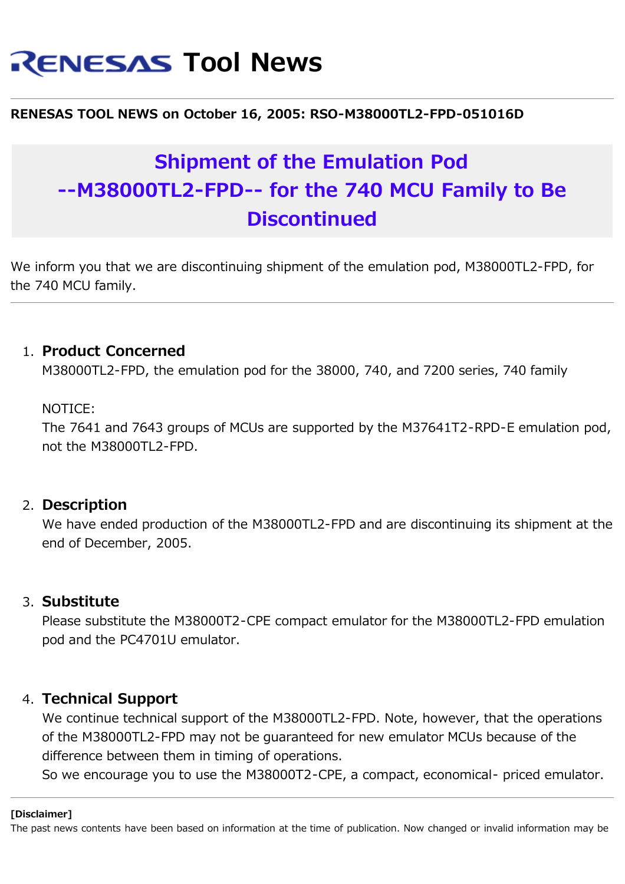# **RENESAS Tool News**

#### **RENESAS TOOL NEWS on October 16, 2005: RSO-M38000TL2-FPD-051016D**

## **Shipment of the Emulation Pod --M38000TL2-FPD-- for the 740 MCU Family to Be Discontinued**

We inform you that we are discontinuing shipment of the emulation pod, M38000TL2-FPD, for the 740 MCU family.

#### 1. **Product Concerned**

M38000TL2-FPD, the emulation pod for the 38000, 740, and 7200 series, 740 family

#### NOTICE:

The 7641 and 7643 groups of MCUs are supported by the M37641T2-RPD-E emulation pod, not the M38000TL2-FPD.

#### 2. **Description**

We have ended production of the M38000TL2-FPD and are discontinuing its shipment at the end of December, 2005.

#### 3. **Substitute**

Please substitute the M38000T2-CPE compact emulator for the M38000TL2-FPD emulation pod and the PC4701U emulator.

### 4. **Technical Support**

We continue technical support of the M38000TL2-FPD. Note, however, that the operations of the M38000TL2-FPD may not be guaranteed for new emulator MCUs because of the difference between them in timing of operations.

So we encourage you to use the M38000T2-CPE, a compact, economical- priced emulator.

#### **[Disclaimer]**

The past news contents have been based on information at the time of publication. Now changed or invalid information may be